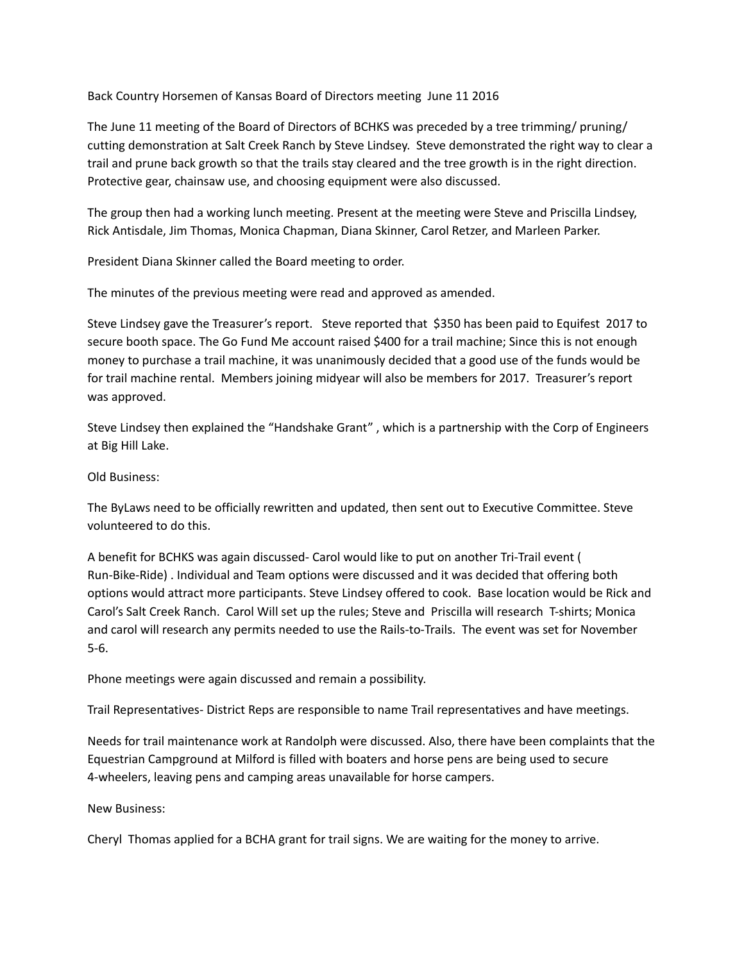Back Country Horsemen of Kansas Board of Directors meeting June 11 2016

The June 11 meeting of the Board of Directors of BCHKS was preceded by a tree trimming/ pruning/ cutting demonstration at Salt Creek Ranch by Steve Lindsey. Steve demonstrated the right way to clear a trail and prune back growth so that the trails stay cleared and the tree growth is in the right direction. Protective gear, chainsaw use, and choosing equipment were also discussed.

The group then had a working lunch meeting. Present at the meeting were Steve and Priscilla Lindsey, Rick Antisdale, Jim Thomas, Monica Chapman, Diana Skinner, Carol Retzer, and Marleen Parker.

President Diana Skinner called the Board meeting to order.

The minutes of the previous meeting were read and approved as amended.

Steve Lindsey gave the Treasurer's report. Steve reported that \$350 has been paid to Equifest 2017 to secure booth space. The Go Fund Me account raised \$400 for a trail machine; Since this is not enough money to purchase a trail machine, it was unanimously decided that a good use of the funds would be for trail machine rental. Members joining midyear will also be members for 2017. Treasurer's report was approved.

Steve Lindsey then explained the "Handshake Grant" , which is a partnership with the Corp of Engineers at Big Hill Lake.

Old Business:

The ByLaws need to be officially rewritten and updated, then sent out to Executive Committee. Steve volunteered to do this.

A benefit for BCHKS was again discussed- Carol would like to put on another Tri-Trail event ( Run-Bike-Ride) . Individual and Team options were discussed and it was decided that offering both options would attract more participants. Steve Lindsey offered to cook. Base location would be Rick and Carol's Salt Creek Ranch. Carol Will set up the rules; Steve and Priscilla will research T-shirts; Monica and carol will research any permits needed to use the Rails-to-Trails. The event was set for November 5-6.

Phone meetings were again discussed and remain a possibility.

Trail Representatives- District Reps are responsible to name Trail representatives and have meetings.

Needs for trail maintenance work at Randolph were discussed. Also, there have been complaints that the Equestrian Campground at Milford is filled with boaters and horse pens are being used to secure 4-wheelers, leaving pens and camping areas unavailable for horse campers.

New Business:

Cheryl Thomas applied for a BCHA grant for trail signs. We are waiting for the money to arrive.